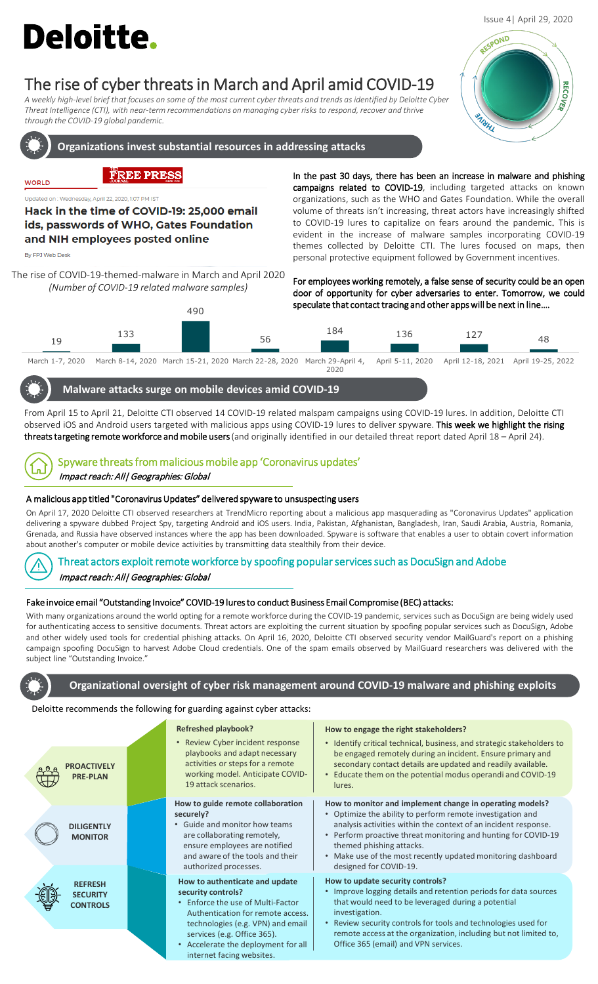# **Deloitte.**

## The rise of cyber threats in March and April amid COVID-19

*A weekly high-level brief that focuses on some of the most current cyber threats and trends as identified by Deloitte Cyber Threat Intelligence (CTI), with near-term recommendations on managing cyber risks to respond, recover and thrive through the COVID-19 global pandemic.* 



**Organizations invest substantial resources in addressing attacks** 

### **FREE PRESS**

Updated on : Wednesday, April 22, 2020, 1:07 PM IST

Hack in the time of COVID-19: 25,000 email ids, passwords of WHO, Gates Foundation and NIH employees posted online

By FPJ Web Desk

**WORLD** 

The rise of COVID-19-themed-malware in March and April 2020 *(Number of COVID-19 related malware samples)*



In the past 30 days, there has been an increase in malware and phishing campaigns related to COVID-19, including targeted attacks on known organizations, such as the WHO and Gates Foundation. While the overall volume of threats isn't increasing, threat actors have increasingly shifted to COVID-19 lures to capitalize on fears around the pandemic. This is evident in the increase of malware samples incorporating COVID-19 themes collected by Deloitte CTI. The lures focused on maps, then personal protective equipment followed by Government incentives.

For employees working remotely, a false sense of security could be an open door of opportunity for cyber adversaries to enter. Tomorrow, we could speculate that contact tracing and other appswill be next in line….



March 1-7, 2020 March 8-14, 2020 March 15-21, 2020 March 22-28, 2020 March 29-April 4, 2020 April 5-11, 2020 April 12-18, 2021 April 19-25, 2022

#### **Malware attacks surge on mobile devices amid COVID-19**

From April 15 to April 21, Deloitte CTI observed 14 COVID-19 related malspam campaigns using COVID-19 lures. In addition, Deloitte CTI observed iOS and Android users targeted with malicious apps using COVID-19 lures to deliver spyware. This week we highlight the rising threats targeting remote workforce and mobile users (and originally identified in our detailed threat report dated April 18 - April 24).



## Spyware threats from malicious mobile app 'Coronavirus updates' Impact reach: All| Geographies: Global

#### A malicious app titled "Coronavirus Updates" delivered spyware to unsuspecting users

On April 17, 2020 Deloitte CTI observed researchers at TrendMicro reporting about a malicious app masquerading as "Coronavirus Updates" application delivering a spyware dubbed Project Spy, targeting Android and iOS users. India, Pakistan, Afghanistan, Bangladesh, Iran, Saudi Arabia, Austria, Romania, Grenada, and Russia have observed instances where the app has been downloaded. Spyware is software that enables a user to obtain covert information about another's computer or mobile device activities by transmitting data stealthily from their device.



#### Threat actors exploit remote workforce by spoofing popular services such as DocuSign and Adobe

Impact reach: All| Geographies: Global

#### Fake invoice email "Outstanding Invoice" COVID-19 luresto conduct Business Email Compromise (BEC) attacks:

With many organizations around the world opting for a remote workforce during the COVID-19 pandemic, services such as DocuSign are being widely used for authenticating access to sensitive documents. Threat actors are exploiting the current situation by spoofing popular services such as DocuSign, Adobe and other widely used tools for credential phishing attacks. On April 16, 2020, Deloitte CTI observed security vendor MailGuard's report on a phishing campaign spoofing DocuSign to harvest Adobe Cloud credentials. One of the spam emails observed by MailGuard researchers was delivered with the subject line "Outstanding Invoice."



#### **Organizational oversight of cyber risk management around COVID-19 malware and phishing exploits**

#### Deloitte recommends the following for guarding against cyber attacks:

| <b>PROACTIVELY</b><br><b>PRE-PLAN</b>                | <b>Refreshed playbook?</b><br>• Review Cyber incident response<br>playbooks and adapt necessary<br>activities or steps for a remote<br>working model. Anticipate COVID-<br>19 attack scenarios.              | How to engage the right stakeholders?<br>• Identify critical technical, business, and strategic stakeholders to<br>be engaged remotely during an incident. Ensure primary and<br>secondary contact details are updated and readily available.<br>Educate them on the potential modus operandi and COVID-19<br>lures.                                                              |
|------------------------------------------------------|--------------------------------------------------------------------------------------------------------------------------------------------------------------------------------------------------------------|-----------------------------------------------------------------------------------------------------------------------------------------------------------------------------------------------------------------------------------------------------------------------------------------------------------------------------------------------------------------------------------|
| <b>DILIGENTLY</b><br><b>MONITOR</b>                  | How to guide remote collaboration<br>securely?<br>• Guide and monitor how teams<br>are collaborating remotely,<br>ensure employees are notified<br>and aware of the tools and their<br>authorized processes. | How to monitor and implement change in operating models?<br>• Optimize the ability to perform remote investigation and<br>analysis activities within the context of an incident response.<br>• Perform proactive threat monitoring and hunting for COVID-19<br>themed phishing attacks.<br>• Make use of the most recently updated monitoring dashboard<br>designed for COVID-19. |
| <b>REFRESH</b><br><b>SECURITY</b><br><b>CONTROLS</b> | How to authenticate and update<br>security controls?<br>Enforce the use of Multi-Factor<br>Authentication for remote access.<br>technologies (e.g. VPN) and email                                            | How to update security controls?<br>• Improve logging details and retention periods for data sources<br>that would need to be leveraged during a potential<br>investigation.<br>Review security controls for tools and technologies used for                                                                                                                                      |
|                                                      | services (e.g. Office 365).<br>Accelerate the deployment for all<br>$\bullet$<br>internet facing websites.                                                                                                   | remote access at the organization, including but not limited to,<br>Office 365 (email) and VPN services.                                                                                                                                                                                                                                                                          |